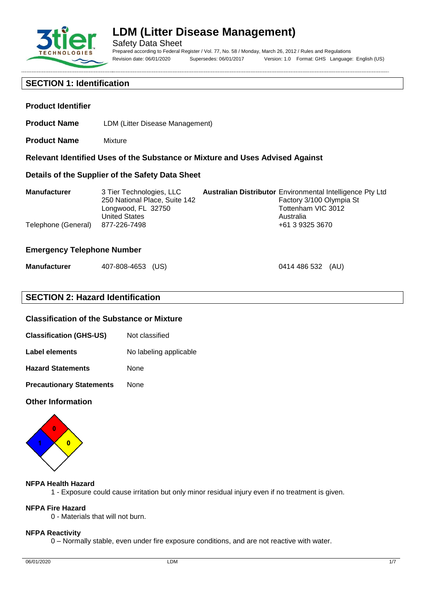

**Product Identifier**

# **LDM (Litter Disease Management)**

Safety Data Sheet Prepared according to Federal Register / Vol. 77, No. 58 / Monday, March 26, 2012 / Rules and Regulations Revision date: 06/01/2020 Supersedes: 06/01/2017 Version: 1.0 Format: GHS Language: English (US)

0414 486 532 (AU)

# **SECTION 1: Identification**

**Product Name** Mixture

| Details of the Supplier of the Safety Data Sheet |                                                                                                                         |  |                                                                                                                                                    |
|--------------------------------------------------|-------------------------------------------------------------------------------------------------------------------------|--|----------------------------------------------------------------------------------------------------------------------------------------------------|
| <b>Manufacturer</b><br>Telephone (General)       | 3 Tier Technologies, LLC<br>250 National Place, Suite 142<br>Longwood, FL 32750<br><b>United States</b><br>877-226-7498 |  | <b>Australian Distributor Environmental Intelligence Pty Ltd</b><br>Factory 3/100 Olympia St<br>Tottenham VIC 3012<br>Australia<br>+61 3 9325 3670 |

**Relevant Identified Uses of the Substance or Mixture and Uses Advised Against**

#### **Emergency Telephone Number**

| <b>Manufacturer</b> | 407-808-4653 (US) |  |
|---------------------|-------------------|--|
|---------------------|-------------------|--|

**Product Name** LDM (Litter Disease Management)

# **SECTION 2: Hazard Identification**

#### **Classification of the Substance or Mixture**

- **Classification (GHS-US)** Not classified
- **Label elements** No labeling applicable
- **Hazard Statements** None
- **Precautionary Statements** None

#### **Other Information**



#### **NFPA Health Hazard**

1 - Exposure could cause irritation but only minor residual injury even if no treatment is given.

#### **NFPA Fire Hazard**

0 - Materials that will not burn.

#### **NFPA Reactivity**

0 – Normally stable, even under fire exposure conditions, and are not reactive with water.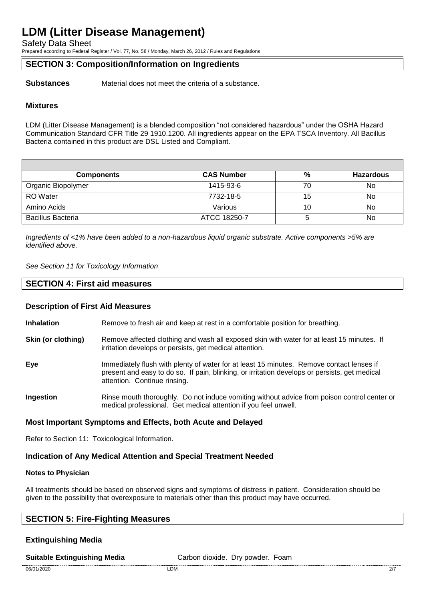Safety Data Sheet

Prepared according to Federal Register / Vol. 77, No. 58 / Monday, March 26, 2012 / Rules and Regulations

#### **SECTION 3: Composition/Information on Ingredients**

**Substances** Material does not meet the criteria of a substance.

#### **Mixtures**

LDM (Litter Disease Management) is a blended composition "not considered hazardous" under the OSHA Hazard Communication Standard CFR Title 29 1910.1200. All ingredients appear on the EPA TSCA Inventory. All Bacillus Bacteria contained in this product are DSL Listed and Compliant.

| <b>Components</b>        | <b>CAS Number</b> | %  | <b>Hazardous</b> |
|--------------------------|-------------------|----|------------------|
| Organic Biopolymer       | 1415-93-6         | 70 | No               |
| <b>RO</b> Water          | 7732-18-5         | 15 | No               |
| Amino Acids              | Various           | 10 | No               |
| <b>Bacillus Bacteria</b> | ATCC 18250-7      |    | No               |

*Ingredients of <1% have been added to a non-hazardous liquid organic substrate. Active components >5% are identified above.*

*See Section 11 for Toxicology Information*

#### **SECTION 4: First aid measures**

#### **Description of First Aid Measures**

**Inhalation** Remove to fresh air and keep at rest in a comfortable position for breathing.

- **Skin (or clothing)** Remove affected clothing and wash all exposed skin with water for at least 15 minutes. If irritation develops or persists, get medical attention.
- **Eye** Immediately flush with plenty of water for at least 15 minutes. Remove contact lenses if present and easy to do so. If pain, blinking, or irritation develops or persists, get medical attention. Continue rinsing.
- **Ingestion** Rinse mouth thoroughly. Do not induce vomiting without advice from poison control center or medical professional. Get medical attention if you feel unwell.

#### **Most Important Symptoms and Effects, both Acute and Delayed**

Refer to Section 11: Toxicological Information.

#### **Indication of Any Medical Attention and Special Treatment Needed**

#### **Notes to Physician**

All treatments should be based on observed signs and symptoms of distress in patient. Consideration should be given to the possibility that overexposure to materials other than this product may have occurred.

### **SECTION 5: Fire-Fighting Measures**

#### **Extinguishing Media**

#### **Suitable Extinguishing Media** Carbon dioxide. Dry powder. Foam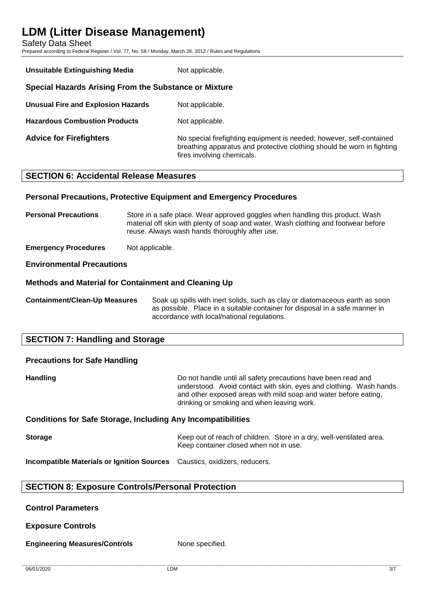Safety Data Sheet

Prepared according to Federal Register / Vol. 77, No. 58 / Monday, March 26, 2012 / Rules and Regulations

| <b>Unsuitable Extinguishing Media</b>                 | Not applicable.                                                                                                                                                              |
|-------------------------------------------------------|------------------------------------------------------------------------------------------------------------------------------------------------------------------------------|
| Special Hazards Arising From the Substance or Mixture |                                                                                                                                                                              |
| Unusual Fire and Explosion Hazards                    | Not applicable.                                                                                                                                                              |
| <b>Hazardous Combustion Products</b>                  | Not applicable.                                                                                                                                                              |
| <b>Advice for Firefighters</b>                        | No special firefighting equipment is needed; however, self-contained<br>breathing apparatus and protective clothing should be worn in fighting<br>fires involving chemicals. |

# **SECTION 6: Accidental Release Measures**

#### **Personal Precautions, Protective Equipment and Emergency Procedures**

**Personal Precautions** Store in a safe place. Wear approved goggles when handling this product. Wash material off skin with plenty of soap and water. Wash clothing and footwear before reuse. Always wash hands thoroughly after use.

**Emergency Procedures** Not applicable.

#### **Environmental Precautions**

#### **Methods and Material for Containment and Cleaning Up**

**Containment/Clean-Up Measures** Soak up spills with inert solids, such as clay or diatomaceous earth as soon as possible. Place in a suitable container for disposal in a safe manner in accordance with local/national regulations.

# **SECTION 7: Handling and Storage**

# **Precautions for Safe Handling Handling Handling Handling Example 10** Do not handle until all safety precautions have been read and understood. Avoid contact with skin, eyes and clothing. Wash hands and other exposed areas with mild soap and water before eating, drinking or smoking and when leaving work.

# **Conditions for Safe Storage, Including Any Incompatibilities**

**Storage** Keep out of reach of children. Store in a dry, well-ventilated area. Keep container closed when not in use.

**Incompatible Materials or Ignition Sources** Caustics, oxidizers, reducers.

### **SECTION 8: Exposure Controls/Personal Protection**

#### **Control Parameters**

**Exposure Controls**

**Engineering Measures/Controls** None specified.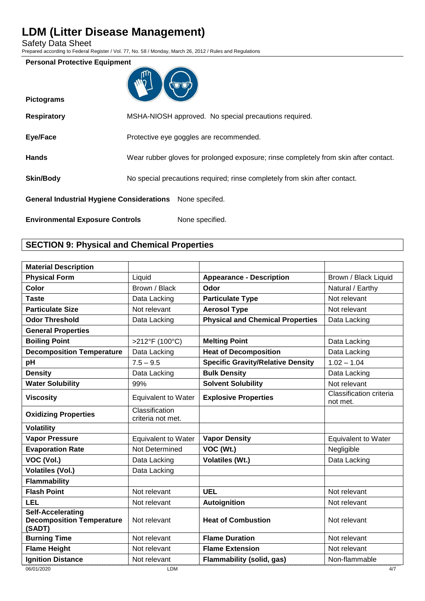Safety Data Sheet

Prepared according to Federal Register / Vol. 77, No. 58 / Monday, March 26, 2012 / Rules and Regulations

#### **Personal Protective Equipment**

| ጠከ<br>L |  |
|---------|--|
|         |  |
|         |  |

| <b>Pictograms</b>                                |                                                                                      |
|--------------------------------------------------|--------------------------------------------------------------------------------------|
| <b>Respiratory</b>                               | MSHA-NIOSH approved. No special precautions required.                                |
| Eye/Face                                         | Protective eye goggles are recommended.                                              |
| <b>Hands</b>                                     | Wear rubber gloves for prolonged exposure; rinse completely from skin after contact. |
| <b>Skin/Body</b>                                 | No special precautions required; rinse completely from skin after contact.           |
| <b>General Industrial Hygiene Considerations</b> | None specifed.                                                                       |
| <b>Environmental Exposure Controls</b>           | None specified.                                                                      |

# **SECTION 9: Physical and Chemical Properties**

| <b>Material Description</b>                                            |                                     |                                          |                                     |
|------------------------------------------------------------------------|-------------------------------------|------------------------------------------|-------------------------------------|
| <b>Physical Form</b>                                                   | Liquid                              | <b>Appearance - Description</b>          | Brown / Black Liquid                |
| Color                                                                  | Brown / Black                       | Odor                                     | Natural / Earthy                    |
| <b>Taste</b>                                                           | Data Lacking                        | <b>Particulate Type</b>                  | Not relevant                        |
| <b>Particulate Size</b>                                                | Not relevant                        | <b>Aerosol Type</b>                      | Not relevant                        |
| <b>Odor Threshold</b>                                                  | Data Lacking                        | <b>Physical and Chemical Properties</b>  | Data Lacking                        |
| <b>General Properties</b>                                              |                                     |                                          |                                     |
| <b>Boiling Point</b>                                                   | >212°F (100°C)                      | <b>Melting Point</b>                     | Data Lacking                        |
| <b>Decomposition Temperature</b>                                       | Data Lacking                        | <b>Heat of Decomposition</b>             | Data Lacking                        |
| pH                                                                     | $7.5 - 9.5$                         | <b>Specific Gravity/Relative Density</b> | $1.02 - 1.04$                       |
| <b>Density</b>                                                         | Data Lacking                        | <b>Bulk Density</b>                      | Data Lacking                        |
| <b>Water Solubility</b>                                                | 99%                                 | <b>Solvent Solubility</b>                | Not relevant                        |
| <b>Viscosity</b>                                                       | <b>Equivalent to Water</b>          | <b>Explosive Properties</b>              | Classification criteria<br>not met. |
| <b>Oxidizing Properties</b>                                            | Classification<br>criteria not met. |                                          |                                     |
| <b>Volatility</b>                                                      |                                     |                                          |                                     |
| <b>Vapor Pressure</b>                                                  | <b>Equivalent to Water</b>          | <b>Vapor Density</b>                     | <b>Equivalent to Water</b>          |
| <b>Evaporation Rate</b>                                                | Not Determined                      | VOC (Wt.)                                | Negligible                          |
| VOC (Vol.)                                                             | Data Lacking                        | <b>Volatiles (Wt.)</b>                   | Data Lacking                        |
| <b>Volatiles (Vol.)</b>                                                | Data Lacking                        |                                          |                                     |
| <b>Flammability</b>                                                    |                                     |                                          |                                     |
| <b>Flash Point</b>                                                     | Not relevant                        | <b>UEL</b>                               | Not relevant                        |
| LEL                                                                    | Not relevant                        | <b>Autoignition</b>                      | Not relevant                        |
| <b>Self-Accelerating</b><br><b>Decomposition Temperature</b><br>(SADT) | Not relevant                        | <b>Heat of Combustion</b>                | Not relevant                        |
| <b>Burning Time</b>                                                    | Not relevant                        | <b>Flame Duration</b>                    | Not relevant                        |
| <b>Flame Height</b>                                                    | Not relevant                        | <b>Flame Extension</b>                   | Not relevant                        |
| <b>Ignition Distance</b>                                               | Not relevant                        | <b>Flammability (solid, gas)</b>         | Non-flammable                       |
| 06/01/2020                                                             | <b>LDM</b>                          |                                          | 4/7                                 |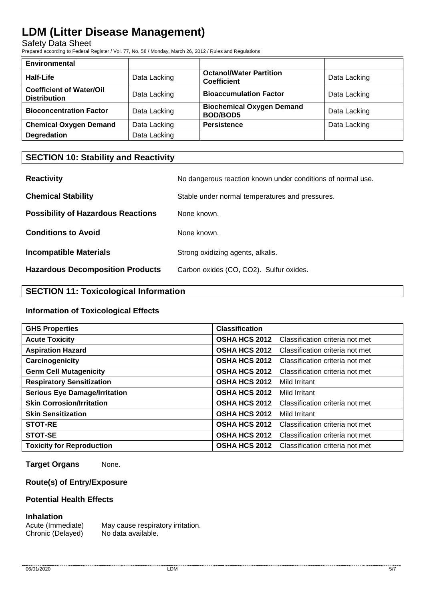Safety Data Sheet

Prepared according to Federal Register / Vol. 77, No. 58 / Monday, March 26, 2012 / Rules and Regulations

| <b>Environmental</b>                                   |              |                                                      |              |
|--------------------------------------------------------|--------------|------------------------------------------------------|--------------|
| Half-Life                                              | Data Lacking | <b>Octanol/Water Partition</b><br><b>Coefficient</b> | Data Lacking |
| <b>Coefficient of Water/Oil</b><br><b>Distribution</b> | Data Lacking | <b>Bioaccumulation Factor</b>                        | Data Lacking |
| <b>Bioconcentration Factor</b>                         | Data Lacking | <b>Biochemical Oxygen Demand</b><br><b>BOD/BOD5</b>  | Data Lacking |
| <b>Chemical Oxygen Demand</b>                          | Data Lacking | <b>Persistence</b>                                   | Data Lacking |
| <b>Degredation</b>                                     | Data Lacking |                                                      |              |

# **SECTION 10: Stability and Reactivity**

| <b>Reactivity</b>                         | No dangerous reaction known under conditions of normal use. |
|-------------------------------------------|-------------------------------------------------------------|
| <b>Chemical Stability</b>                 | Stable under normal temperatures and pressures.             |
| <b>Possibility of Hazardous Reactions</b> | None known.                                                 |
| <b>Conditions to Avoid</b>                | None known.                                                 |
| <b>Incompatible Materials</b>             | Strong oxidizing agents, alkalis.                           |
| <b>Hazardous Decomposition Products</b>   | Carbon oxides (CO, CO2). Sulfur oxides.                     |

# **SECTION 11: Toxicological Information**

#### **Information of Toxicological Effects**

| <b>GHS Properties</b>                | <b>Classification</b> |                                 |
|--------------------------------------|-----------------------|---------------------------------|
| <b>Acute Toxicity</b>                | <b>OSHA HCS 2012</b>  | Classification criteria not met |
| <b>Aspiration Hazard</b>             | <b>OSHA HCS 2012</b>  | Classification criteria not met |
| Carcinogenicity                      | <b>OSHA HCS 2012</b>  | Classification criteria not met |
| <b>Germ Cell Mutagenicity</b>        | <b>OSHA HCS 2012</b>  | Classification criteria not met |
| <b>Respiratory Sensitization</b>     | <b>OSHA HCS 2012</b>  | Mild Irritant                   |
| <b>Serious Eye Damage/Irritation</b> | <b>OSHA HCS 2012</b>  | Mild Irritant                   |
| <b>Skin Corrosion/Irritation</b>     | <b>OSHA HCS 2012</b>  | Classification criteria not met |
| <b>Skin Sensitization</b>            | <b>OSHA HCS 2012</b>  | Mild Irritant                   |
| <b>STOT-RE</b>                       | <b>OSHA HCS 2012</b>  | Classification criteria not met |
| STOT-SE                              | <b>OSHA HCS 2012</b>  | Classification criteria not met |
| <b>Toxicity for Reproduction</b>     | <b>OSHA HCS 2012</b>  | Classification criteria not met |

**Target Organs** None.

### **Route(s) of Entry/Exposure**

### **Potential Health Effects**

#### **Inhalation**

Acute (Immediate) May cause respiratory irritation. Chronic (Delayed) No data available.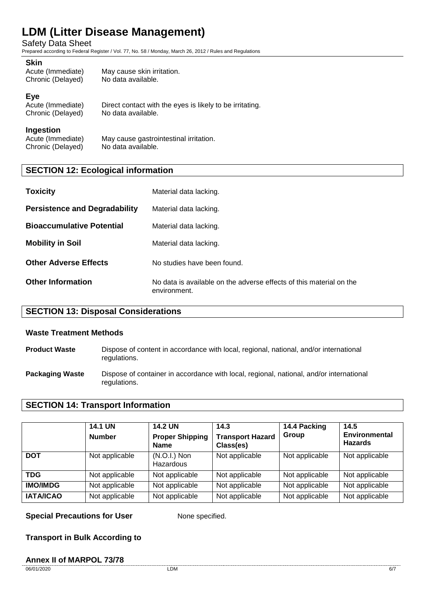Safety Data Sheet

Prepared according to Federal Register / Vol. 77, No. 58 / Monday, March 26, 2012 / Rules and Regulations

#### **Skin**

| Acute (Immediate)<br>May cause skin irritation. |  |
|-------------------------------------------------|--|
| Chronic (Delayed)<br>No data available.         |  |

#### **Eye**

Acute (Immediate) Direct contact with the eyes is likely to be irritating.<br>Chronic (Delayed) No data available. Chronic (Delayed)

#### **Ingestion**

Acute (Immediate) May cause gastrointestinal irritation.<br>Chronic (Delaved) No data available. Chronic (Delayed)

# **SECTION 12: Ecological information**

| <b>Toxicity</b>                      | Material data lacking.                                                              |
|--------------------------------------|-------------------------------------------------------------------------------------|
| <b>Persistence and Degradability</b> | Material data lacking.                                                              |
| <b>Bioaccumulative Potential</b>     | Material data lacking.                                                              |
| <b>Mobility in Soil</b>              | Material data lacking.                                                              |
| <b>Other Adverse Effects</b>         | No studies have been found.                                                         |
| <b>Other Information</b>             | No data is available on the adverse effects of this material on the<br>environment. |

### **SECTION 13: Disposal Considerations**

#### **Waste Treatment Methods**

- **Product Waste** Dispose of content in accordance with local, regional, national, and/or international regulations.
- **Packaging Waste** Dispose of container in accordance with local, regional, national, and/or international regulations.

### **SECTION 14: Transport Information**

|                  | <b>14.1 UN</b><br><b>Number</b> | <b>14.2 UN</b><br><b>Proper Shipping</b><br><b>Name</b> | 14.3<br><b>Transport Hazard</b><br>Class(es) | 14.4 Packing<br>Group | 14.5<br><b>Environmental</b><br><b>Hazards</b> |
|------------------|---------------------------------|---------------------------------------------------------|----------------------------------------------|-----------------------|------------------------------------------------|
| <b>DOT</b>       | Not applicable                  | $(N.O.I.)$ Non<br>Hazardous                             | Not applicable                               | Not applicable        | Not applicable                                 |
| <b>TDG</b>       | Not applicable                  | Not applicable                                          | Not applicable                               | Not applicable        | Not applicable                                 |
| <b>IMO/IMDG</b>  | Not applicable                  | Not applicable                                          | Not applicable                               | Not applicable        | Not applicable                                 |
| <b>IATA/ICAO</b> | Not applicable                  | Not applicable                                          | Not applicable                               | Not applicable        | Not applicable                                 |

**Special Precautions for User** None specified.

### **Transport in Bulk According to**

#### **Annex II of MARPOL 73/78**